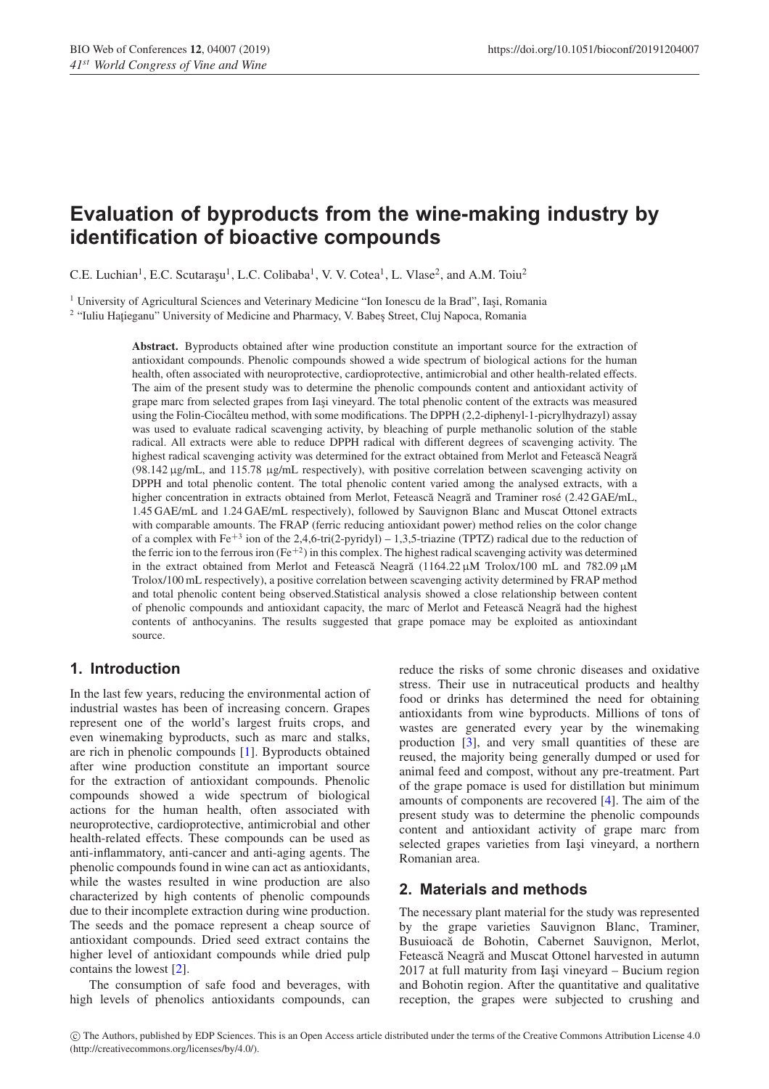# **Evaluation of byproducts from the wine-making industry by identification of bioactive compounds**

C.E. Luchian<sup>1</sup>, E.C. Scutaraşu<sup>1</sup>, L.C. Colibaba<sup>1</sup>, V. V. Cotea<sup>1</sup>, L. Vlase<sup>2</sup>, and A.M. Toiu<sup>2</sup>

 $1$  University of Agricultural Sciences and Veterinary Medicine "Ion Ionescu de la Brad", Iasi, Romania

<sup>2</sup> "Iuliu Hațieganu" University of Medicine and Pharmacy, V. Babes Street, Cluj Napoca, Romania

**Abstract.** Byproducts obtained after wine production constitute an important source for the extraction of antioxidant compounds. Phenolic compounds showed a wide spectrum of biological actions for the human health, often associated with neuroprotective, cardioprotective, antimicrobial and other health-related effects. The aim of the present study was to determine the phenolic compounds content and antioxidant activity of grape marc from selected grapes from Iasi vineyard. The total phenolic content of the extracts was measured using the Folin-Ciocalteu method, with some modifications. The DPPH (2,2-diphenyl-1-picrylhydrazyl) assay was used to evaluate radical scavenging activity, by bleaching of purple methanolic solution of the stable radical. All extracts were able to reduce DPPH radical with different degrees of scavenging activity. The highest radical scavenging activity was determined for the extract obtained from Merlot and Fetească Neagră (98.142 µg/mL, and 115.78 µg/mL respectively), with positive correlation between scavenging activity on DPPH and total phenolic content. The total phenolic content varied among the analysed extracts, with a higher concentration in extracts obtained from Merlot, Fetească Neagră and Traminer rosé (2.42 GAE/mL, 1.45 GAE/mL and 1.24 GAE/mL respectively), followed by Sauvignon Blanc and Muscat Ottonel extracts with comparable amounts. The FRAP (ferric reducing antioxidant power) method relies on the color change of a complex with Fe<sup>+3</sup> ion of the 2,4,6-tri(2-pyridyl) – 1,3,5-triazine (TPTZ) radical due to the reduction of the ferric ion to the ferrous iron  $(Fe^{+2})$  in this complex. The highest radical scavenging activity was determined in the extract obtained from Merlot and Feteasca Neagra  $(1164.22 \,\mu\text{M})$  Trolox/100 mL and 782.09  $\mu$ M Trolox/100 mL respectively), a positive correlation between scavenging activity determined by FRAP method and total phenolic content being observed.Statistical analysis showed a close relationship between content of phenolic compounds and antioxidant capacity, the marc of Merlot and Fetească Neagră had the highest contents of anthocyanins. The results suggested that grape pomace may be exploited as antioxindant source.

# **1. Introduction**

In the last few years, reducing the environmental action of industrial wastes has been of increasing concern. Grapes represent one of the world's largest fruits crops, and even winemaking byproducts, such as marc and stalks, are rich in phenolic compounds [\[1\]](#page-2-0). Byproducts obtained after wine production constitute an important source for the extraction of antioxidant compounds. Phenolic compounds showed a wide spectrum of biological actions for the human health, often associated with neuroprotective, cardioprotective, antimicrobial and other health-related effects. These compounds can be used as anti-inflammatory, anti-cancer and anti-aging agents. The phenolic compounds found in wine can act as antioxidants, while the wastes resulted in wine production are also characterized by high contents of phenolic compounds due to their incomplete extraction during wine production. The seeds and the pomace represent a cheap source of antioxidant compounds. Dried seed extract contains the higher level of antioxidant compounds while dried pulp contains the lowest [\[2\]](#page-2-1).

The consumption of safe food and beverages, with high levels of phenolics antioxidants compounds, can reduce the risks of some chronic diseases and oxidative stress. Their use in nutraceutical products and healthy food or drinks has determined the need for obtaining antioxidants from wine byproducts. Millions of tons of wastes are generated every year by the winemaking production [\[3\]](#page-2-2), and very small quantities of these are reused, the majority being generally dumped or used for animal feed and compost, without any pre-treatment. Part of the grape pomace is used for distillation but minimum amounts of components are recovered [\[4](#page-2-3)]. The aim of the present study was to determine the phenolic compounds content and antioxidant activity of grape marc from selected grapes varieties from Iași vineyard, a northern Romanian area.

### **2. Materials and methods**

The necessary plant material for the study was represented by the grape varieties Sauvignon Blanc, Traminer, Busuioacă de Bohotin, Cabernet Sauvignon, Merlot, Fetească Neagră and Muscat Ottonel harvested in autumn  $2017$  at full maturity from Iasi vineyard – Bucium region and Bohotin region. After the quantitative and qualitative reception, the grapes were subjected to crushing and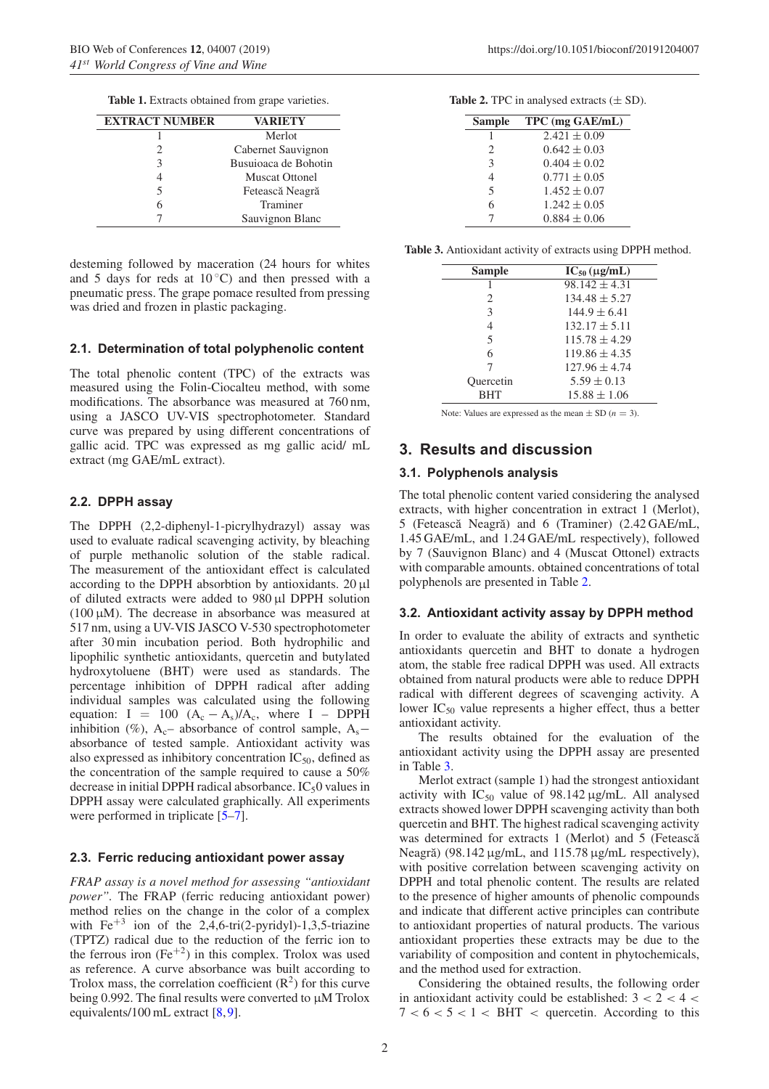**Table 1.** Extracts obtained from grape varieties.

| <b>EXTRACT NUMBER</b> | <b>VARIETY</b>        |
|-----------------------|-----------------------|
|                       | Merlot                |
| 2                     | Cabernet Sauvignon    |
|                       | Busuioaca de Bohotin  |
|                       | <b>Muscat Ottonel</b> |
|                       | Fetească Neagră       |
|                       | Traminer              |
|                       | Sauvignon Blanc       |

desteming followed by maceration (24 hours for whites and 5 days for reds at  $10\degree C$ ) and then pressed with a pneumatic press. The grape pomace resulted from pressing was dried and frozen in plastic packaging.

#### **2.1. Determination of total polyphenolic content**

The total phenolic content (TPC) of the extracts was measured using the Folin-Ciocalteu method, with some modifications. The absorbance was measured at 760 nm, using a JASCO UV-VIS spectrophotometer. Standard curve was prepared by using different concentrations of gallic acid. TPC was expressed as mg gallic acid/ mL extract (mg GAE/mL extract).

#### **2.2. DPPH assay**

The DPPH (2,2-diphenyl-1-picrylhydrazyl) assay was used to evaluate radical scavenging activity, by bleaching of purple methanolic solution of the stable radical. The measurement of the antioxidant effect is calculated according to the DPPH absorbtion by antioxidants.  $20 \mu l$ of diluted extracts were added to 980 µl DPPH solution ( $100 \mu$ M). The decrease in absorbance was measured at 517 nm, using a UV-VIS JASCO V-530 spectrophotometer after 30 min incubation period. Both hydrophilic and lipophilic synthetic antioxidants, quercetin and butylated hydroxytoluene (BHT) were used as standards. The percentage inhibition of DPPH radical after adding individual samples was calculated using the following equation: I = 100  $(A_c - A_s)/A_c$ , where I – DPPH inhibition (%), A<sub>c</sub>– absorbance of control sample, A<sub>s</sub>– absorbance of tested sample. Antioxidant activity was also expressed as inhibitory concentration  $IC_{50}$ , defined as the concentration of the sample required to cause a 50% decrease in initial DPPH radical absorbance.  $IC_50$  values in DPPH assay were calculated graphically. All experiments were performed in triplicate  $[5-7]$  $[5-7]$ .

### **2.3. Ferric reducing antioxidant power assay**

*FRAP assay is a novel method for assessing "antioxidant power".* The FRAP (ferric reducing antioxidant power) method relies on the change in the color of a complex with  $Fe^{+3}$  ion of the 2,4,6-tri(2-pyridyl)-1,3,5-triazine (TPTZ) radical due to the reduction of the ferric ion to the ferrous iron  $(Fe^{+2})$  in this complex. Trolox was used as reference. A curve absorbance was built according to Trolox mass, the correlation coefficient  $(R^2)$  for this curve being 0.992. The final results were converted to  $\mu$ M Trolox equivalents/100 mL extract [\[8](#page-2-6),[9\]](#page-2-7).

<span id="page-1-0"></span>**Table 2.** TPC in analysed extracts  $(\pm SD)$ .

| <b>Sample</b> | TPC (mg GAE/mL)  |
|---------------|------------------|
|               | $2.421 \pm 0.09$ |
| 2             | $0.642 \pm 0.03$ |
| 3             | $0.404 \pm 0.02$ |
| 4             | $0.771 \pm 0.05$ |
| 5             | $1.452 \pm 0.07$ |
| 6             | $1.242 \pm 0.05$ |
|               | $0.884 \pm 0.06$ |

<span id="page-1-1"></span>**Table 3.** Antioxidant activity of extracts using DPPH method.

| Sample         | $IC_{50} (\mu g/mL)$ |
|----------------|----------------------|
| 1              | $98.142 \pm 4.31$    |
| $\mathfrak{D}$ | $134.48 \pm 5.27$    |
| 3              | $144.9 \pm 6.41$     |
| 4              | $132.17 \pm 5.11$    |
| 5              | $115.78 \pm 4.29$    |
| 6              | $119.86 \pm 4.35$    |
| 7              | $127.96 \pm 4.74$    |
| Quercetin      | $5.59 \pm 0.13$      |
| RHT            | $15.88 \pm 1.06$     |

Note: Values are expressed as the mean  $\pm$  SD ( $n = 3$ ).

# **3. Results and discussion**

### **3.1. Polyphenols analysis**

The total phenolic content varied considering the analysed extracts, with higher concentration in extract 1 (Merlot), 5 (Fetească Neagră) and 6 (Traminer) (2.42 GAE/mL, 1.45 GAE/mL, and 1.24 GAE/mL respectively), followed by 7 (Sauvignon Blanc) and 4 (Muscat Ottonel) extracts with comparable amounts. obtained concentrations of total polyphenols are presented in Table [2.](#page-1-0)

#### **3.2. Antioxidant activity assay by DPPH method**

In order to evaluate the ability of extracts and synthetic antioxidants quercetin and BHT to donate a hydrogen atom, the stable free radical DPPH was used. All extracts obtained from natural products were able to reduce DPPH radical with different degrees of scavenging activity. A lower IC50 value represents a higher effect, thus a better antioxidant activity.

The results obtained for the evaluation of the antioxidant activity using the DPPH assay are presented in Table [3.](#page-1-1)

Merlot extract (sample 1) had the strongest antioxidant activity with  $IC_{50}$  value of 98.142  $\mu$ g/mL. All analysed extracts showed lower DPPH scavenging activity than both quercetin and BHT. The highest radical scavenging activity was determined for extracts 1 (Merlot) and 5 (Fetească Neagră) (98.142  $\mu$ g/mL, and 115.78  $\mu$ g/mL respectively), with positive correlation between scavenging activity on DPPH and total phenolic content. The results are related to the presence of higher amounts of phenolic compounds and indicate that different active principles can contribute to antioxidant properties of natural products. The various antioxidant properties these extracts may be due to the variability of composition and content in phytochemicals, and the method used for extraction.

Considering the obtained results, the following order in antioxidant activity could be established:  $3 < 2 < 4 <$  $7 < 6 < 5 < 1 <$  BHT  $\lt$  quercetin. According to this